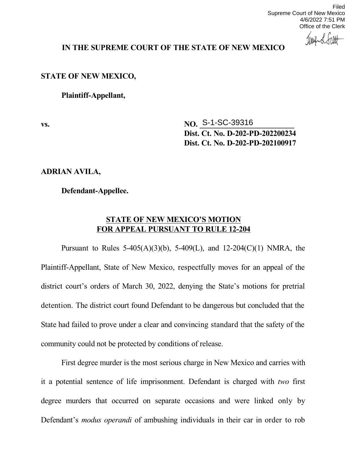Filed Supreme Court of New Mexico 4/6/2022 7:51 PM Office of the Clerk

## **IN THE SUPREME COURT OF THE STATE OF NEW MEXICO**

## **STATE OF NEW MEXICO,**

**Plaintiff-Appellant,**

**vs. NO. S-1-SC-39316 Dist. Ct. No. D-202-PD-202200234 Dist. Ct. No. D-202-PD-202100917**

**ADRIAN AVILA,**

**Defendant-Appellee.**

## **STATE OF NEW MEXICO'S MOTION FOR APPEAL PURSUANT TO RULE 12-204**

Pursuant to Rules  $5-405(A)(3)(b)$ ,  $5-409(L)$ , and  $12-204(C)(1)$  NMRA, the Plaintiff-Appellant, State of New Mexico, respectfully moves for an appeal of the district court's orders of March 30, 2022, denying the State's motions for pretrial detention. The district court found Defendant to be dangerous but concluded that the State had failed to prove under a clear and convincing standard that the safety of the community could not be protected by conditions of release.

First degree murder is the most serious charge in New Mexico and carries with it a potential sentence of life imprisonment. Defendant is charged with *two* first degree murders that occurred on separate occasions and were linked only by Defendant's *modus operandi* of ambushing individuals in their car in order to rob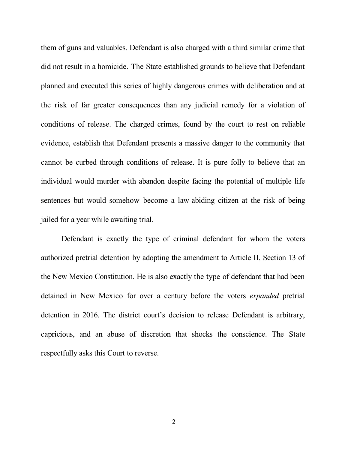them of guns and valuables. Defendant is also charged with a third similar crime that did not result in a homicide. The State established grounds to believe that Defendant planned and executed this series of highly dangerous crimes with deliberation and at the risk of far greater consequences than any judicial remedy for a violation of conditions of release. The charged crimes, found by the court to rest on reliable evidence, establish that Defendant presents a massive danger to the community that cannot be curbed through conditions of release. It is pure folly to believe that an individual would murder with abandon despite facing the potential of multiple life sentences but would somehow become a law-abiding citizen at the risk of being jailed for a year while awaiting trial.

Defendant is exactly the type of criminal defendant for whom the voters authorized pretrial detention by adopting the amendment to Article II, Section 13 of the New Mexico Constitution. He is also exactly the type of defendant that had been detained in New Mexico for over a century before the voters *expanded* pretrial detention in 2016. The district court's decision to release Defendant is arbitrary, capricious, and an abuse of discretion that shocks the conscience. The State respectfully asks this Court to reverse.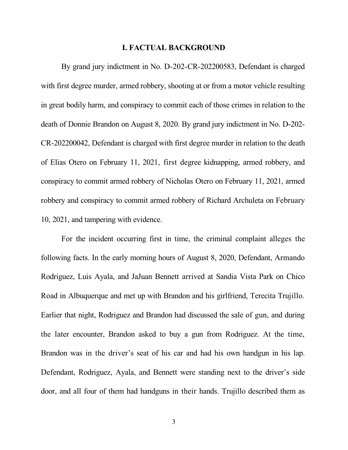#### **I. FACTUAL BACKGROUND**

By grand jury indictment in No. D-202-CR-202200583, Defendant is charged with first degree murder, armed robbery, shooting at or from a motor vehicle resulting in great bodily harm, and conspiracy to commit each of those crimes in relation to the death of Donnie Brandon on August 8, 2020. By grand jury indictment in No. D-202- CR-202200042, Defendant is charged with first degree murder in relation to the death of Elias Otero on February 11, 2021, first degree kidnapping, armed robbery, and conspiracy to commit armed robbery of Nicholas Otero on February 11, 2021, armed robbery and conspiracy to commit armed robbery of Richard Archuleta on February 10, 2021, and tampering with evidence.

For the incident occurring first in time, the criminal complaint alleges the following facts. In the early morning hours of August 8, 2020, Defendant, Armando Rodriguez, Luis Ayala, and JaJuan Bennett arrived at Sandia Vista Park on Chico Road in Albuquerque and met up with Brandon and his girlfriend, Terecita Trujillo. Earlier that night, Rodriguez and Brandon had discussed the sale of gun, and during the later encounter, Brandon asked to buy a gun from Rodriguez. At the time, Brandon was in the driver's seat of his car and had his own handgun in his lap. Defendant, Rodriguez, Ayala, and Bennett were standing next to the driver's side door, and all four of them had handguns in their hands. Trujillo described them as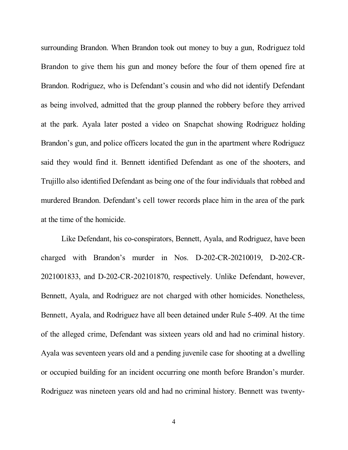surrounding Brandon. When Brandon took out money to buy a gun, Rodriguez told Brandon to give them his gun and money before the four of them opened fire at Brandon. Rodriguez, who is Defendant's cousin and who did not identify Defendant as being involved, admitted that the group planned the robbery before they arrived at the park. Ayala later posted a video on Snapchat showing Rodriguez holding Brandon's gun, and police officers located the gun in the apartment where Rodriguez said they would find it. Bennett identified Defendant as one of the shooters, and Trujillo also identified Defendant as being one of the four individuals that robbed and murdered Brandon. Defendant's cell tower records place him in the area of the park at the time of the homicide.

Like Defendant, his co-conspirators, Bennett, Ayala, and Rodriguez, have been charged with Brandon's murder in Nos. D-202-CR-20210019, D-202-CR-2021001833, and D-202-CR-202101870, respectively. Unlike Defendant, however, Bennett, Ayala, and Rodriguez are not charged with other homicides. Nonetheless, Bennett, Ayala, and Rodriguez have all been detained under Rule 5-409. At the time of the alleged crime, Defendant was sixteen years old and had no criminal history. Ayala was seventeen years old and a pending juvenile case for shooting at a dwelling or occupied building for an incident occurring one month before Brandon's murder. Rodriguez was nineteen years old and had no criminal history. Bennett was twenty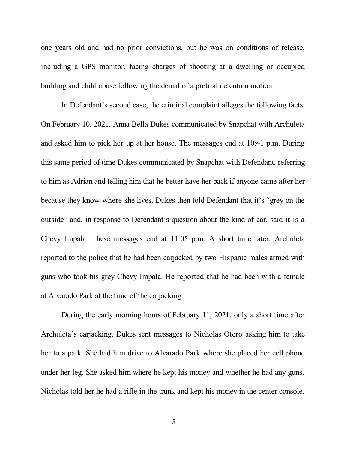one years old and had no prior convictions, but he was on conditions of release, including a GPS monitor, facing charges of shooting at a dwelling or occupied building and child abuse following the denial of a pretrial detention motion.

In Defendant's second case, the criminal complaint alleges the following facts. On February 10, 2021, Anna Bella Dukes communicated by Snapchat with Archuleta and asked him to pick her up at her house. The messages end at 10:41 p.m. During this same period of time Dukes communicated by Snapchat with Defendant, referring to him as Adrian and telling him that he better have her back if anyone came after her because they know where she lives. Dukes then told Defendant that it's "grey on the outside" and, in response to Defendant's question about the kind of car, said it is a Chevy Impala. These messages end at 11:05 p.m. A short time later, Archuleta reported to the police that he had been carjacked by two Hispanic males armed with guns who took his grey Chevy Impala. He reported that he had been with a female at Alvarado Park at the time of the carjacking.

During the early morning hours of February 11, 2021, only a short time after Archuleta's carjacking, Dukes sent messages to Nicholas Otero asking him to take her to a park. She had him drive to Alvarado Park where she placed her cell phone under her leg. She asked him where he kept his money and whether he had any guns. Nicholas told her he had a rifle in the trunk and kept his money in the center console.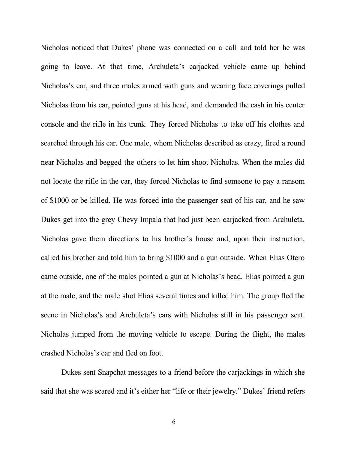Nicholas noticed that Dukes' phone was connected on a call and told her he was going to leave. At that time, Archuleta's carjacked vehicle came up behind Nicholas's car, and three males armed with guns and wearing face coverings pulled Nicholas from his car, pointed guns at his head, and demanded the cash in his center console and the rifle in his trunk. They forced Nicholas to take off his clothes and searched through his car. One male, whom Nicholas described as crazy, fired a round near Nicholas and begged the others to let him shoot Nicholas. When the males did not locate the rifle in the car, they forced Nicholas to find someone to pay a ransom of \$1000 or be killed. He was forced into the passenger seat of his car, and he saw Dukes get into the grey Chevy Impala that had just been carjacked from Archuleta. Nicholas gave them directions to his brother's house and, upon their instruction, called his brother and told him to bring \$1000 and a gun outside. When Elias Otero came outside, one of the males pointed a gun at Nicholas's head. Elias pointed a gun at the male, and the male shot Elias several times and killed him. The group fled the scene in Nicholas's and Archuleta's cars with Nicholas still in his passenger seat. Nicholas jumped from the moving vehicle to escape. During the flight, the males crashed Nicholas's car and fled on foot.

Dukes sent Snapchat messages to a friend before the carjackings in which she said that she was scared and it's either her "life or their jewelry." Dukes' friend refers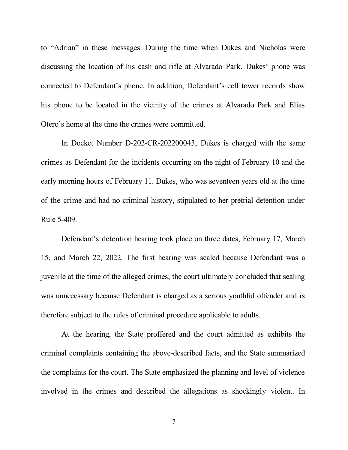to "Adrian" in these messages. During the time when Dukes and Nicholas were discussing the location of his cash and rifle at Alvarado Park, Dukes' phone was connected to Defendant's phone. In addition, Defendant's cell tower records show his phone to be located in the vicinity of the crimes at Alvarado Park and Elias Otero's home at the time the crimes were committed.

In Docket Number D-202-CR-202200043, Dukes is charged with the same crimes as Defendant for the incidents occurring on the night of February 10 and the early morning hours of February 11. Dukes, who was seventeen years old at the time of the crime and had no criminal history, stipulated to her pretrial detention under Rule 5-409.

Defendant's detention hearing took place on three dates, February 17, March 15, and March 22, 2022. The first hearing was sealed because Defendant was a juvenile at the time of the alleged crimes; the court ultimately concluded that sealing was unnecessary because Defendant is charged as a serious youthful offender and is therefore subject to the rules of criminal procedure applicable to adults.

At the hearing, the State proffered and the court admitted as exhibits the criminal complaints containing the above-described facts, and the State summarized the complaints for the court. The State emphasized the planning and level of violence involved in the crimes and described the allegations as shockingly violent. In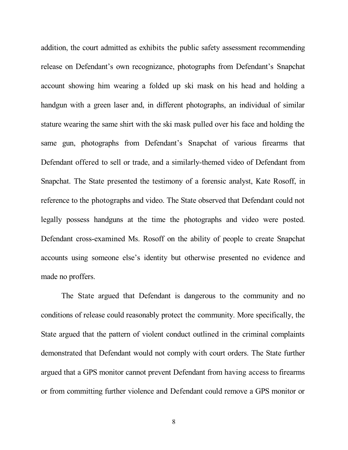addition, the court admitted as exhibits the public safety assessment recommending release on Defendant's own recognizance, photographs from Defendant's Snapchat account showing him wearing a folded up ski mask on his head and holding a handgun with a green laser and, in different photographs, an individual of similar stature wearing the same shirt with the ski mask pulled over his face and holding the same gun, photographs from Defendant's Snapchat of various firearms that Defendant offered to sell or trade, and a similarly-themed video of Defendant from Snapchat. The State presented the testimony of a forensic analyst, Kate Rosoff, in reference to the photographs and video. The State observed that Defendant could not legally possess handguns at the time the photographs and video were posted. Defendant cross-examined Ms. Rosoff on the ability of people to create Snapchat accounts using someone else's identity but otherwise presented no evidence and made no proffers.

The State argued that Defendant is dangerous to the community and no conditions of release could reasonably protect the community. More specifically, the State argued that the pattern of violent conduct outlined in the criminal complaints demonstrated that Defendant would not comply with court orders. The State further argued that a GPS monitor cannot prevent Defendant from having access to firearms or from committing further violence and Defendant could remove a GPS monitor or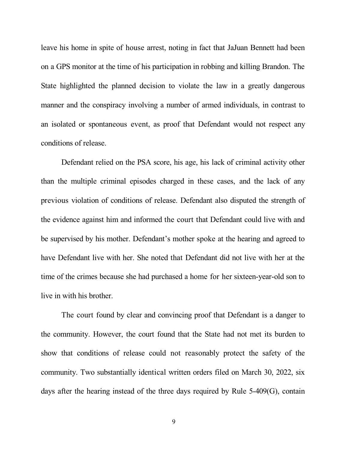leave his home in spite of house arrest, noting in fact that JaJuan Bennett had been on a GPS monitor at the time of his participation in robbing and killing Brandon. The State highlighted the planned decision to violate the law in a greatly dangerous manner and the conspiracy involving a number of armed individuals, in contrast to an isolated or spontaneous event, as proof that Defendant would not respect any conditions of release.

Defendant relied on the PSA score, his age, his lack of criminal activity other than the multiple criminal episodes charged in these cases, and the lack of any previous violation of conditions of release. Defendant also disputed the strength of the evidence against him and informed the court that Defendant could live with and be supervised by his mother. Defendant's mother spoke at the hearing and agreed to have Defendant live with her. She noted that Defendant did not live with her at the time of the crimes because she had purchased a home for her sixteen-year-old son to live in with his brother.

The court found by clear and convincing proof that Defendant is a danger to the community. However, the court found that the State had not met its burden to show that conditions of release could not reasonably protect the safety of the community. Two substantially identical written orders filed on March 30, 2022, six days after the hearing instead of the three days required by Rule 5-409(G), contain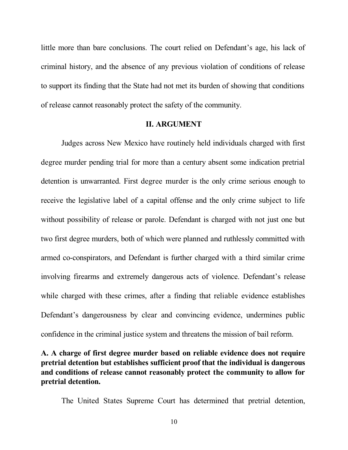little more than bare conclusions. The court relied on Defendant's age, his lack of criminal history, and the absence of any previous violation of conditions of release to support its finding that the State had not met its burden of showing that conditions of release cannot reasonably protect the safety of the community.

#### **II. ARGUMENT**

Judges across New Mexico have routinely held individuals charged with first degree murder pending trial for more than a century absent some indication pretrial detention is unwarranted. First degree murder is the only crime serious enough to receive the legislative label of a capital offense and the only crime subject to life without possibility of release or parole. Defendant is charged with not just one but two first degree murders, both of which were planned and ruthlessly committed with armed co-conspirators, and Defendant is further charged with a third similar crime involving firearms and extremely dangerous acts of violence. Defendant's release while charged with these crimes, after a finding that reliable evidence establishes Defendant's dangerousness by clear and convincing evidence, undermines public confidence in the criminal justice system and threatens the mission of bail reform.

# **A. A charge of first degree murder based on reliable evidence does not require pretrial detention but establishes sufficient proof that the individual is dangerous and conditions of release cannot reasonably protect the community to allow for pretrial detention.**

The United States Supreme Court has determined that pretrial detention,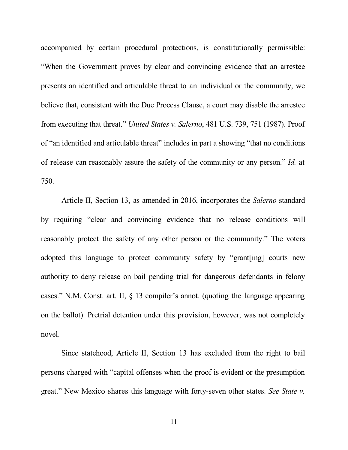accompanied by certain procedural protections, is constitutionally permissible: "When the Government proves by clear and convincing evidence that an arrestee presents an identified and articulable threat to an individual or the community, we believe that, consistent with the Due Process Clause, a court may disable the arrestee from executing that threat." *United States v. Salerno*, 481 U.S. 739, 751 (1987). Proof of "an identified and articulable threat" includes in part a showing "that no conditions of release can reasonably assure the safety of the community or any person." *Id.* at 750.

Article II, Section 13, as amended in 2016, incorporates the *Salerno* standard by requiring "clear and convincing evidence that no release conditions will reasonably protect the safety of any other person or the community." The voters adopted this language to protect community safety by "grant[ing] courts new authority to deny release on bail pending trial for dangerous defendants in felony cases." N.M. Const. art. II, § 13 compiler's annot. (quoting the language appearing on the ballot). Pretrial detention under this provision, however, was not completely novel.

Since statehood, Article II, Section 13 has excluded from the right to bail persons charged with "capital offenses when the proof is evident or the presumption great." New Mexico shares this language with forty-seven other states. *See State v.*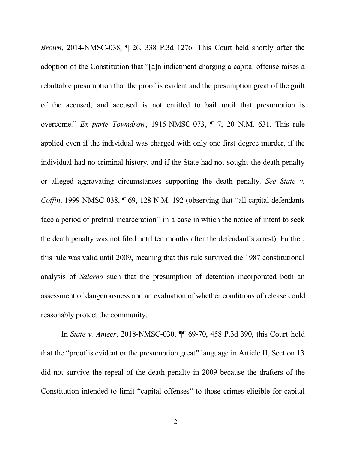*Brown*, 2014-NMSC-038, ¶ 26, 338 P.3d 1276. This Court held shortly after the adoption of the Constitution that "[a]n indictment charging a capital offense raises a rebuttable presumption that the proof is evident and the presumption great of the guilt of the accused, and accused is not entitled to bail until that presumption is overcome." *Ex parte Towndrow*, 1915-NMSC-073, ¶ 7, 20 N.M. 631. This rule applied even if the individual was charged with only one first degree murder, if the individual had no criminal history, and if the State had not sought the death penalty or alleged aggravating circumstances supporting the death penalty. *See State v. Coffin*, 1999-NMSC-038, ¶ 69, 128 N.M. 192 (observing that "all capital defendants face a period of pretrial incarceration" in a case in which the notice of intent to seek the death penalty was not filed until ten months after the defendant's arrest). Further, this rule was valid until 2009, meaning that this rule survived the 1987 constitutional analysis of *Salerno* such that the presumption of detention incorporated both an assessment of dangerousness and an evaluation of whether conditions of release could reasonably protect the community.

In *State v. Ameer*, 2018-NMSC-030, ¶¶ 69-70, 458 P.3d 390, this Court held that the "proof is evident or the presumption great" language in Article II, Section 13 did not survive the repeal of the death penalty in 2009 because the drafters of the Constitution intended to limit "capital offenses" to those crimes eligible for capital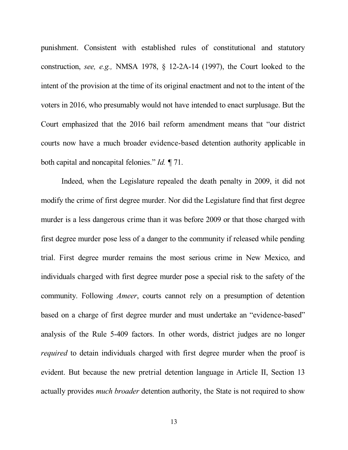punishment. Consistent with established rules of constitutional and statutory construction, *see, e.g.,* NMSA 1978, § 12-2A-14 (1997), the Court looked to the intent of the provision at the time of its original enactment and not to the intent of the voters in 2016, who presumably would not have intended to enact surplusage. But the Court emphasized that the 2016 bail reform amendment means that "our district courts now have a much broader evidence-based detention authority applicable in both capital and noncapital felonies." *Id. ¶* 71.

Indeed, when the Legislature repealed the death penalty in 2009, it did not modify the crime of first degree murder. Nor did the Legislature find that first degree murder is a less dangerous crime than it was before 2009 or that those charged with first degree murder pose less of a danger to the community if released while pending trial. First degree murder remains the most serious crime in New Mexico, and individuals charged with first degree murder pose a special risk to the safety of the community. Following *Ameer*, courts cannot rely on a presumption of detention based on a charge of first degree murder and must undertake an "evidence-based" analysis of the Rule 5-409 factors. In other words, district judges are no longer *required* to detain individuals charged with first degree murder when the proof is evident. But because the new pretrial detention language in Article II, Section 13 actually provides *much broader* detention authority, the State is not required to show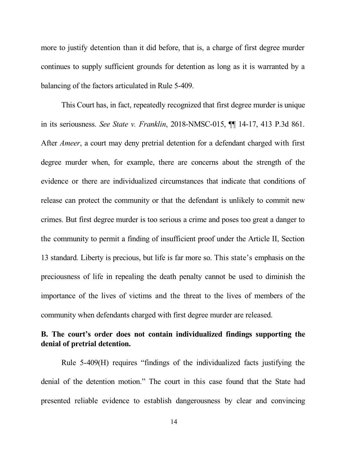more to justify detention than it did before, that is, a charge of first degree murder continues to supply sufficient grounds for detention as long as it is warranted by a balancing of the factors articulated in Rule 5-409.

This Court has, in fact, repeatedly recognized that first degree murder is unique in its seriousness. *See State v. Franklin*, 2018-NMSC-015, ¶¶ 14-17, 413 P.3d 861. After *Ameer*, a court may deny pretrial detention for a defendant charged with first degree murder when, for example, there are concerns about the strength of the evidence or there are individualized circumstances that indicate that conditions of release can protect the community or that the defendant is unlikely to commit new crimes. But first degree murder is too serious a crime and poses too great a danger to the community to permit a finding of insufficient proof under the Article II, Section 13 standard. Liberty is precious, but life is far more so. This state's emphasis on the preciousness of life in repealing the death penalty cannot be used to diminish the importance of the lives of victims and the threat to the lives of members of the community when defendants charged with first degree murder are released.

# **B. The court's order does not contain individualized findings supporting the denial of pretrial detention.**

Rule 5-409(H) requires "findings of the individualized facts justifying the denial of the detention motion." The court in this case found that the State had presented reliable evidence to establish dangerousness by clear and convincing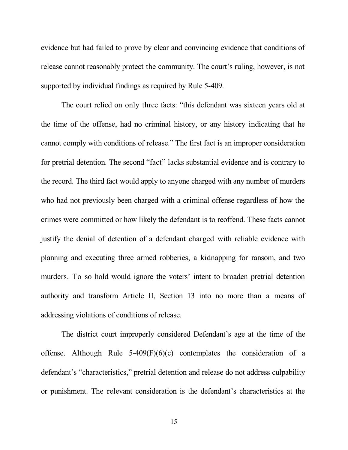evidence but had failed to prove by clear and convincing evidence that conditions of release cannot reasonably protect the community. The court's ruling, however, is not supported by individual findings as required by Rule 5-409.

The court relied on only three facts: "this defendant was sixteen years old at the time of the offense, had no criminal history, or any history indicating that he cannot comply with conditions of release." The first fact is an improper consideration for pretrial detention. The second "fact" lacks substantial evidence and is contrary to the record. The third fact would apply to anyone charged with any number of murders who had not previously been charged with a criminal offense regardless of how the crimes were committed or how likely the defendant is to reoffend. These facts cannot justify the denial of detention of a defendant charged with reliable evidence with planning and executing three armed robberies, a kidnapping for ransom, and two murders. To so hold would ignore the voters' intent to broaden pretrial detention authority and transform Article II, Section 13 into no more than a means of addressing violations of conditions of release.

The district court improperly considered Defendant's age at the time of the offense. Although Rule  $5-409(F)(6)(c)$  contemplates the consideration of a defendant's "characteristics," pretrial detention and release do not address culpability or punishment. The relevant consideration is the defendant's characteristics at the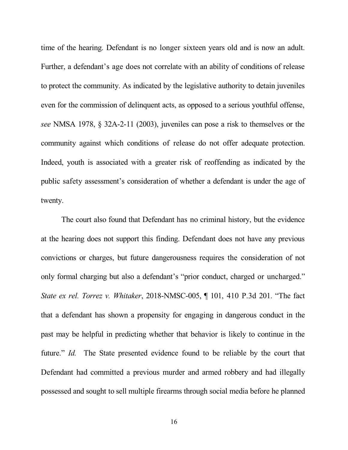time of the hearing. Defendant is no longer sixteen years old and is now an adult. Further, a defendant's age does not correlate with an ability of conditions of release to protect the community. As indicated by the legislative authority to detain juveniles even for the commission of delinquent acts, as opposed to a serious youthful offense, *see* NMSA 1978, § 32A-2-11 (2003), juveniles can pose a risk to themselves or the community against which conditions of release do not offer adequate protection. Indeed, youth is associated with a greater risk of reoffending as indicated by the public safety assessment's consideration of whether a defendant is under the age of twenty.

The court also found that Defendant has no criminal history, but the evidence at the hearing does not support this finding. Defendant does not have any previous convictions or charges, but future dangerousness requires the consideration of not only formal charging but also a defendant's "prior conduct, charged or uncharged." *State ex rel. Torrez v. Whitaker*, 2018-NMSC-005, ¶ 101, 410 P.3d 201. "The fact that a defendant has shown a propensity for engaging in dangerous conduct in the past may be helpful in predicting whether that behavior is likely to continue in the future." *Id.* The State presented evidence found to be reliable by the court that Defendant had committed a previous murder and armed robbery and had illegally possessed and sought to sell multiple firearms through social media before he planned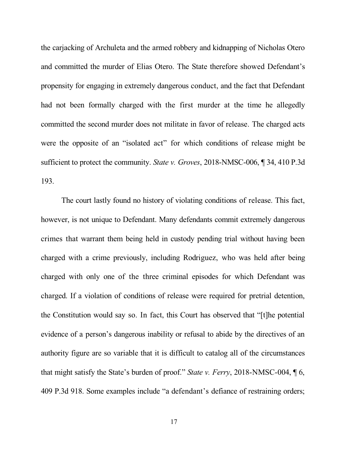the carjacking of Archuleta and the armed robbery and kidnapping of Nicholas Otero and committed the murder of Elias Otero. The State therefore showed Defendant's propensity for engaging in extremely dangerous conduct, and the fact that Defendant had not been formally charged with the first murder at the time he allegedly committed the second murder does not militate in favor of release. The charged acts were the opposite of an "isolated act" for which conditions of release might be sufficient to protect the community. *State v. Groves*, 2018-NMSC-006, ¶ 34, 410 P.3d 193.

The court lastly found no history of violating conditions of release. This fact, however, is not unique to Defendant. Many defendants commit extremely dangerous crimes that warrant them being held in custody pending trial without having been charged with a crime previously, including Rodriguez, who was held after being charged with only one of the three criminal episodes for which Defendant was charged. If a violation of conditions of release were required for pretrial detention, the Constitution would say so. In fact, this Court has observed that "[t]he potential evidence of a person's dangerous inability or refusal to abide by the directives of an authority figure are so variable that it is difficult to catalog all of the circumstances that might satisfy the State's burden of proof." *State v. Ferry*, 2018-NMSC-004, ¶ 6, 409 P.3d 918. Some examples include "a defendant's defiance of restraining orders;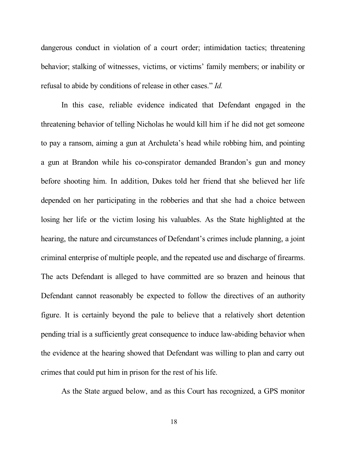dangerous conduct in violation of a court order; intimidation tactics; threatening behavior; stalking of witnesses, victims, or victims' family members; or inability or refusal to abide by conditions of release in other cases." *Id.*

In this case, reliable evidence indicated that Defendant engaged in the threatening behavior of telling Nicholas he would kill him if he did not get someone to pay a ransom, aiming a gun at Archuleta's head while robbing him, and pointing a gun at Brandon while his co-conspirator demanded Brandon's gun and money before shooting him. In addition, Dukes told her friend that she believed her life depended on her participating in the robberies and that she had a choice between losing her life or the victim losing his valuables. As the State highlighted at the hearing, the nature and circumstances of Defendant's crimes include planning, a joint criminal enterprise of multiple people, and the repeated use and discharge of firearms. The acts Defendant is alleged to have committed are so brazen and heinous that Defendant cannot reasonably be expected to follow the directives of an authority figure. It is certainly beyond the pale to believe that a relatively short detention pending trial is a sufficiently great consequence to induce law-abiding behavior when the evidence at the hearing showed that Defendant was willing to plan and carry out crimes that could put him in prison for the rest of his life.

As the State argued below, and as this Court has recognized, a GPS monitor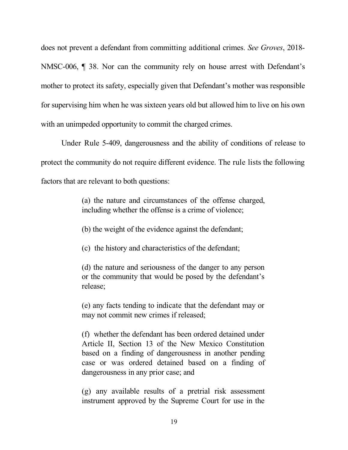does not prevent a defendant from committing additional crimes. *See Groves*, 2018- NMSC-006, ¶ 38. Nor can the community rely on house arrest with Defendant's mother to protect its safety, especially given that Defendant's mother was responsible for supervising him when he was sixteen years old but allowed him to live on his own with an unimpeded opportunity to commit the charged crimes.

Under Rule 5-409, dangerousness and the ability of conditions of release to protect the community do not require different evidence. The rule lists the following factors that are relevant to both questions:

> (a) the nature and circumstances of the offense charged, including whether the offense is a crime of violence;

(b) the weight of the evidence against the defendant;

(c) the history and characteristics of the defendant;

(d) the nature and seriousness of the danger to any person or the community that would be posed by the defendant's release;

(e) any facts tending to indicate that the defendant may or may not commit new crimes if released;

(f) whether the defendant has been ordered detained under Article II, Section 13 of the New Mexico Constitution based on a finding of dangerousness in another pending case or was ordered detained based on a finding of dangerousness in any prior case; and

(g) any available results of a pretrial risk assessment instrument approved by the Supreme Court for use in the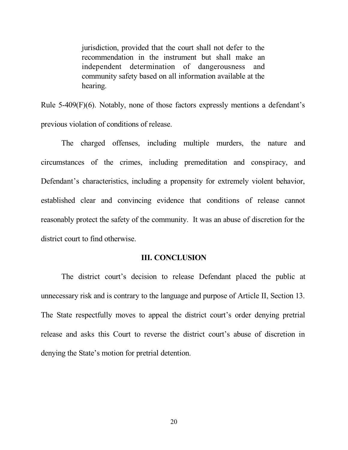jurisdiction, provided that the court shall not defer to the recommendation in the instrument but shall make an independent determination of dangerousness and community safety based on all information available at the hearing.

Rule 5-409(F)(6). Notably, none of those factors expressly mentions a defendant's previous violation of conditions of release.

The charged offenses, including multiple murders, the nature and circumstances of the crimes, including premeditation and conspiracy, and Defendant's characteristics, including a propensity for extremely violent behavior, established clear and convincing evidence that conditions of release cannot reasonably protect the safety of the community. It was an abuse of discretion for the district court to find otherwise.

#### **III. CONCLUSION**

The district court's decision to release Defendant placed the public at unnecessary risk and is contrary to the language and purpose of Article II, Section 13. The State respectfully moves to appeal the district court's order denying pretrial release and asks this Court to reverse the district court's abuse of discretion in denying the State's motion for pretrial detention.